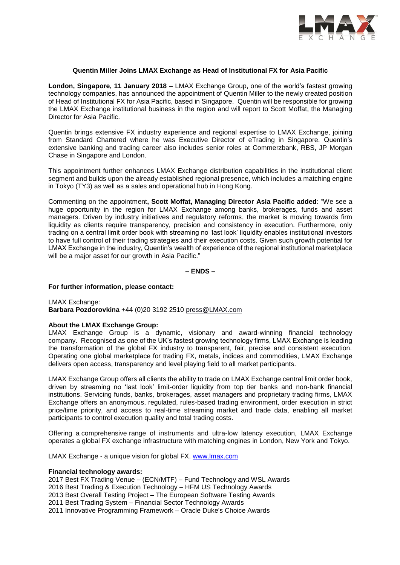

# **Quentin Miller Joins LMAX Exchange as Head of Institutional FX for Asia Pacific**

**London, Singapore, 11 January 2018** – LMAX Exchange Group, one of the world's fastest growing technology companies, has announced the appointment of Quentin Miller to the newly created position of Head of Institutional FX for Asia Pacific, based in Singapore. Quentin will be responsible for growing the LMAX Exchange institutional business in the region and will report to Scott Moffat, the Managing Director for Asia Pacific.

Quentin brings extensive FX industry experience and regional expertise to LMAX Exchange, joining from Standard Chartered where he was Executive Director of eTrading in Singapore. Quentin's extensive banking and trading career also includes senior roles at Commerzbank, RBS, JP Morgan Chase in Singapore and London.

This appointment further enhances LMAX Exchange distribution capabilities in the institutional client segment and builds upon the already established regional presence, which includes a matching engine in Tokyo (TY3) as well as a sales and operational hub in Hong Kong.

Commenting on the appointment**, Scott Moffat, Managing Director Asia Pacific added**: "We see a huge opportunity in the region for LMAX Exchange among banks, brokerages, funds and asset managers. Driven by industry initiatives and regulatory reforms, the market is moving towards firm liquidity as clients require transparency, precision and consistency in execution. Furthermore, only trading on a central limit order book with streaming no 'last look' liquidity enables institutional investors to have full control of their trading strategies and their execution costs. Given such growth potential for LMAX Exchange in the industry, Quentin's wealth of experience of the regional institutional marketplace will be a major asset for our growth in Asia Pacific."

**– ENDS –**

**For further information, please contact:** 

LMAX Exchange: **Barbara Pozdorovkina** +44 (0)20 3192 2510 [press@LMAX.com](mailto:press@LMAX.com)

## **About the LMAX Exchange Group:**

LMAX Exchange Group is a dynamic, visionary and award-winning financial technology company. Recognised as one of the UK's fastest growing technology firms, LMAX Exchange is leading the transformation of the global FX industry to transparent, fair, precise and consistent execution. Operating one global marketplace for trading FX, metals, indices and commodities, LMAX Exchange delivers open access, transparency and level playing field to all market participants.

LMAX Exchange Group offers all clients the ability to trade on LMAX Exchange central limit order book, driven by streaming no 'last look' limit-order liquidity from top tier banks and non-bank financial institutions. Servicing funds, banks, brokerages, asset managers and proprietary trading firms, LMAX Exchange offers an anonymous, regulated, rules-based trading environment, order execution in strict price/time priority, and access to real-time streaming market and trade data, enabling all market participants to control execution quality and total trading costs.

Offering a comprehensive range of instruments and ultra-low latency execution, LMAX Exchange operates a global FX exchange infrastructure with matching engines in London, New York and Tokyo.

LMAX Exchange - a unique vision for global FX. [www.lmax.com](http://www.lmax.com/)

### **Financial technology awards:**

2017 Best FX Trading Venue – (ECN/MTF) – Fund Technology and WSL Awards 2016 Best Trading & Execution Technology – HFM US Technology Awards 2013 Best Overall Testing Project – The European Software Testing Awards 2011 Best Trading System – Financial Sector Technology Awards 2011 Innovative Programming Framework – Oracle Duke's Choice Awards